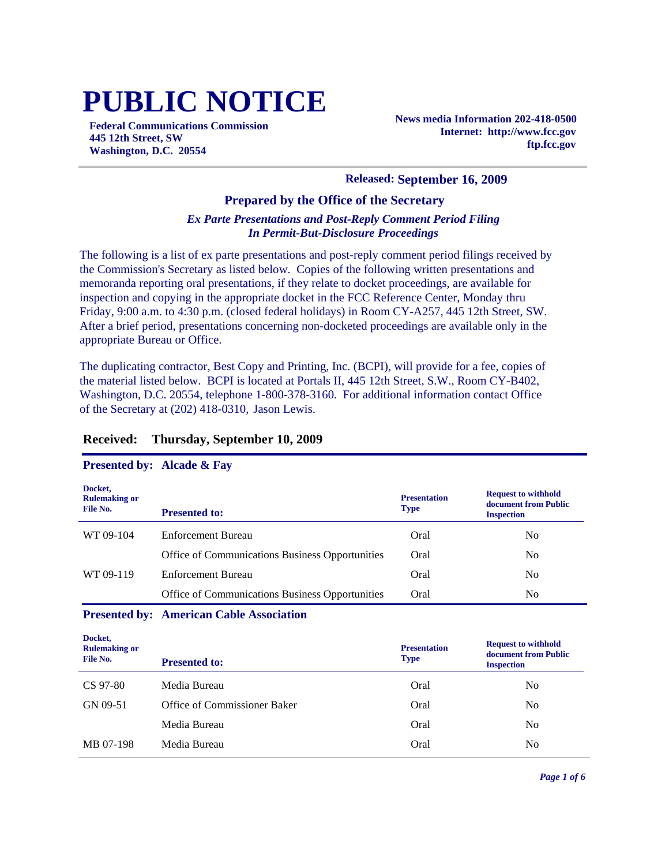# **PUBLIC NOTICE**

**Federal Communications Commission 445 12th Street, SW Washington, D.C. 20554**

**News media Information 202-418-0500 Internet: http://www.fcc.gov ftp.fcc.gov**

#### **Released: September 16, 2009**

## **Prepared by the Office of the Secretary**

### *Ex Parte Presentations and Post-Reply Comment Period Filing In Permit-But-Disclosure Proceedings*

The following is a list of ex parte presentations and post-reply comment period filings received by the Commission's Secretary as listed below. Copies of the following written presentations and memoranda reporting oral presentations, if they relate to docket proceedings, are available for inspection and copying in the appropriate docket in the FCC Reference Center, Monday thru Friday, 9:00 a.m. to 4:30 p.m. (closed federal holidays) in Room CY-A257, 445 12th Street, SW. After a brief period, presentations concerning non-docketed proceedings are available only in the appropriate Bureau or Office.

The duplicating contractor, Best Copy and Printing, Inc. (BCPI), will provide for a fee, copies of the material listed below. BCPI is located at Portals II, 445 12th Street, S.W., Room CY-B402, Washington, D.C. 20554, telephone 1-800-378-3160. For additional information contact Office of the Secretary at (202) 418-0310, Jason Lewis.

## **Received: Thursday, September 10, 2009**

#### **Presented by: Alcade & Fay**

| Docket,<br><b>Rulemaking or</b><br>File No. | <b>Presented to:</b>                            | <b>Presentation</b><br><b>Type</b> | <b>Request to withhold</b><br>document from Public<br><b>Inspection</b> |
|---------------------------------------------|-------------------------------------------------|------------------------------------|-------------------------------------------------------------------------|
| WT 09-104                                   | Enforcement Bureau                              | Oral                               | No                                                                      |
|                                             | Office of Communications Business Opportunities | Oral                               | N <sub>0</sub>                                                          |
| WT 09-119                                   | Enforcement Bureau                              | Oral                               | No.                                                                     |
|                                             | Office of Communications Business Opportunities | Oral                               | No.                                                                     |

#### **Presented by: American Cable Association**

| Docket,<br><b>Rulemaking or</b><br>File No. | <b>Presented to:</b>         | <b>Presentation</b><br><b>Type</b> | <b>Request to withhold</b><br>document from Public<br><b>Inspection</b> |
|---------------------------------------------|------------------------------|------------------------------------|-------------------------------------------------------------------------|
| CS 97-80                                    | Media Bureau                 | Oral                               | No                                                                      |
| GN 09-51                                    | Office of Commissioner Baker | Oral                               | No                                                                      |
|                                             | Media Bureau                 | Oral                               | No                                                                      |
| MB 07-198                                   | Media Bureau                 | Oral                               | No                                                                      |
|                                             |                              |                                    |                                                                         |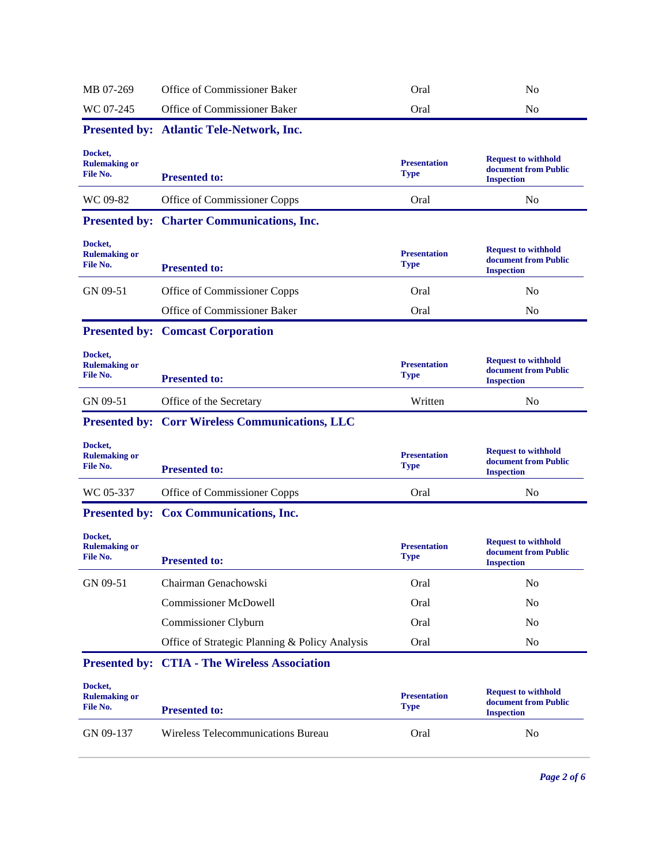| MB 07-269                                   | Office of Commissioner Baker                           | Oral                               | N <sub>o</sub>                                                          |
|---------------------------------------------|--------------------------------------------------------|------------------------------------|-------------------------------------------------------------------------|
| WC 07-245                                   | Office of Commissioner Baker                           | Oral                               | N <sub>0</sub>                                                          |
|                                             | <b>Presented by: Atlantic Tele-Network, Inc.</b>       |                                    |                                                                         |
| Docket,<br><b>Rulemaking or</b><br>File No. | <b>Presented to:</b>                                   | <b>Presentation</b><br><b>Type</b> | <b>Request to withhold</b><br>document from Public<br><b>Inspection</b> |
| WC 09-82                                    | Office of Commissioner Copps                           | Oral                               | N <sub>0</sub>                                                          |
|                                             | <b>Presented by: Charter Communications, Inc.</b>      |                                    |                                                                         |
| Docket,<br><b>Rulemaking or</b><br>File No. | <b>Presented to:</b>                                   | <b>Presentation</b><br><b>Type</b> | <b>Request to withhold</b><br>document from Public<br><b>Inspection</b> |
| GN 09-51                                    | Office of Commissioner Copps                           | Oral                               | N <sub>o</sub>                                                          |
|                                             | Office of Commissioner Baker                           | Oral                               | No                                                                      |
|                                             | <b>Presented by: Comcast Corporation</b>               |                                    |                                                                         |
| Docket,<br><b>Rulemaking or</b><br>File No. | <b>Presented to:</b>                                   | <b>Presentation</b><br><b>Type</b> | <b>Request to withhold</b><br>document from Public<br><b>Inspection</b> |
| GN 09-51                                    | Office of the Secretary                                | Written                            | N <sub>0</sub>                                                          |
|                                             | <b>Presented by: Corr Wireless Communications, LLC</b> |                                    |                                                                         |
| Docket,<br><b>Rulemaking or</b><br>File No. | <b>Presented to:</b>                                   | <b>Presentation</b><br><b>Type</b> | <b>Request to withhold</b><br>document from Public<br><b>Inspection</b> |
| WC 05-337                                   | Office of Commissioner Copps                           | Oral                               | N <sub>0</sub>                                                          |
|                                             | Presented by: Cox Communications, Inc.                 |                                    |                                                                         |
| Docket,<br><b>Rulemaking or</b><br>File No. | <b>Presented to:</b>                                   | <b>Presentation</b><br><b>Type</b> | <b>Request to withhold</b><br>document from Public<br><b>Inspection</b> |
| GN 09-51                                    | Chairman Genachowski                                   | Oral                               | N <sub>o</sub>                                                          |
|                                             | <b>Commissioner McDowell</b>                           | Oral                               | N <sub>0</sub>                                                          |
|                                             | Commissioner Clyburn                                   | Oral                               | N <sub>0</sub>                                                          |
|                                             | Office of Strategic Planning & Policy Analysis         | Oral                               | N <sub>0</sub>                                                          |
|                                             | <b>Presented by: CTIA - The Wireless Association</b>   |                                    |                                                                         |
| Docket,<br><b>Rulemaking or</b><br>File No. | <b>Presented to:</b>                                   | <b>Presentation</b><br><b>Type</b> | <b>Request to withhold</b><br>document from Public<br><b>Inspection</b> |
| GN 09-137                                   | Wireless Telecommunications Bureau                     | Oral                               | No                                                                      |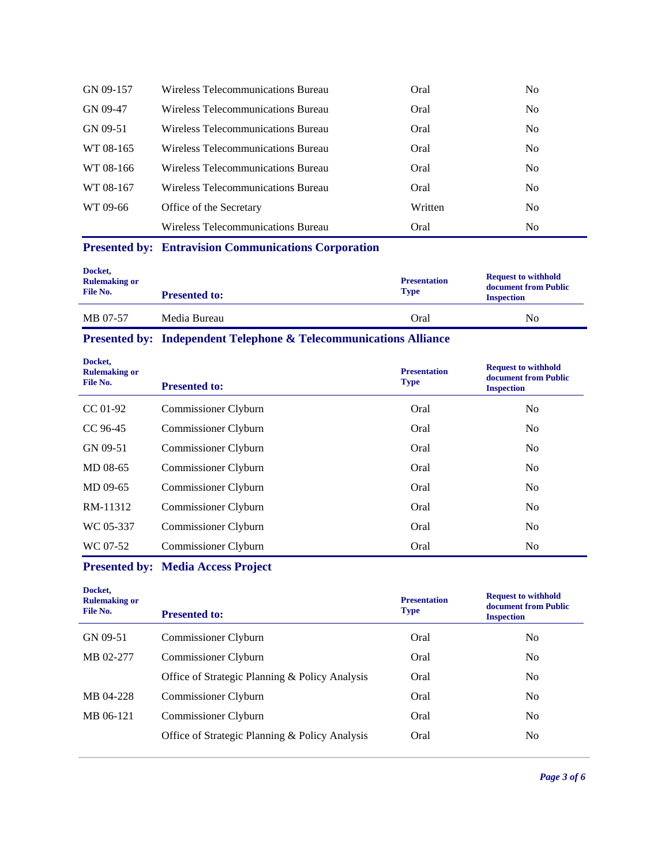| GN 09-157 | Wireless Telecommunications Bureau | Oral    | N <sub>0</sub> |
|-----------|------------------------------------|---------|----------------|
| GN 09-47  | Wireless Telecommunications Bureau | Oral    | N <sub>0</sub> |
| GN 09-51  | Wireless Telecommunications Bureau | Oral    | N <sub>0</sub> |
| WT 08-165 | Wireless Telecommunications Bureau | Oral    | N <sub>0</sub> |
| WT 08-166 | Wireless Telecommunications Bureau | Oral    | No.            |
| WT 08-167 | Wireless Telecommunications Bureau | Oral    | No.            |
| WT 09-66  | Office of the Secretary            | Written | N <sub>0</sub> |
|           | Wireless Telecommunications Bureau | Oral    | N <sub>0</sub> |

## **Presented by: Entravision Communications Corporation**

| Docket,<br><b>Rulemaking or</b><br>File No. | <b>Presented to:</b> | <b>Presentation</b><br><b>Type</b> | <b>Request to withhold</b><br>document from Public<br><b>Inspection</b> |
|---------------------------------------------|----------------------|------------------------------------|-------------------------------------------------------------------------|
| MB 07-57                                    | Media Bureau         | Oral                               | No                                                                      |

## **Presented by: Independent Telephone & Telecommunications Alliance**

| Docket,<br><b>Rulemaking or</b><br>File No. | <b>Presented to:</b> | <b>Presentation</b><br><b>Type</b> | <b>Request to withhold</b><br>document from Public<br><b>Inspection</b> |
|---------------------------------------------|----------------------|------------------------------------|-------------------------------------------------------------------------|
| $CC 01-92$                                  | Commissioner Clyburn | Oral                               | N <sub>0</sub>                                                          |
| CC 96-45                                    | Commissioner Clyburn | Oral                               | N <sub>0</sub>                                                          |
| GN 09-51                                    | Commissioner Clyburn | Oral                               | N <sub>o</sub>                                                          |
| MD 08-65                                    | Commissioner Clyburn | Oral                               | N <sub>o</sub>                                                          |
| MD 09-65                                    | Commissioner Clyburn | Oral                               | N <sub>0</sub>                                                          |
| RM-11312                                    | Commissioner Clyburn | Oral                               | N <sub>o</sub>                                                          |
| WC 05-337                                   | Commissioner Clyburn | Oral                               | N <sub>0</sub>                                                          |
| WC 07-52                                    | Commissioner Clyburn | Oral                               | N <sub>0</sub>                                                          |

# **Presented by: Media Access Project**

| Docket,<br><b>Rulemaking or</b><br>File No. | <b>Presented to:</b>                           | <b>Presentation</b><br><b>Type</b> | <b>Request to withhold</b><br>document from Public<br><b>Inspection</b> |
|---------------------------------------------|------------------------------------------------|------------------------------------|-------------------------------------------------------------------------|
| GN 09-51                                    | Commissioner Clyburn                           | Oral                               | No                                                                      |
| MB 02-277                                   | Commissioner Clyburn                           | Oral                               | N <sub>0</sub>                                                          |
|                                             | Office of Strategic Planning & Policy Analysis | Oral                               | N <sub>0</sub>                                                          |
| MB 04-228                                   | Commissioner Clyburn                           | Oral                               | N <sub>0</sub>                                                          |
| MB 06-121                                   | Commissioner Clyburn                           | Oral                               | N <sub>0</sub>                                                          |
|                                             | Office of Strategic Planning & Policy Analysis | Oral                               | No                                                                      |
|                                             |                                                |                                    |                                                                         |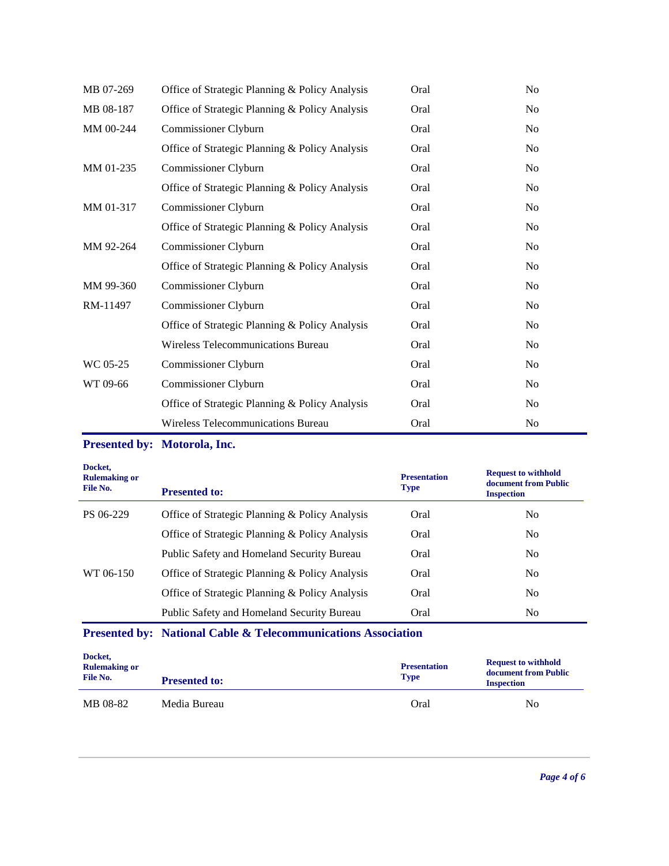| MB 07-269 | Office of Strategic Planning & Policy Analysis | Oral | N <sub>0</sub> |
|-----------|------------------------------------------------|------|----------------|
| MB 08-187 | Office of Strategic Planning & Policy Analysis | Oral | N <sub>0</sub> |
| MM 00-244 | Commissioner Clyburn                           | Oral | N <sub>0</sub> |
|           | Office of Strategic Planning & Policy Analysis | Oral | No             |
| MM 01-235 | Commissioner Clyburn                           | Oral | N <sub>0</sub> |
|           | Office of Strategic Planning & Policy Analysis | Oral | N <sub>0</sub> |
| MM 01-317 | Commissioner Clyburn                           | Oral | N <sub>o</sub> |
|           | Office of Strategic Planning & Policy Analysis | Oral | N <sub>0</sub> |
| MM 92-264 | Commissioner Clyburn                           | Oral | N <sub>0</sub> |
|           | Office of Strategic Planning & Policy Analysis | Oral | No             |
| MM 99-360 | Commissioner Clyburn                           | Oral | No             |
| RM-11497  | Commissioner Clyburn                           | Oral | N <sub>0</sub> |
|           | Office of Strategic Planning & Policy Analysis | Oral | N <sub>o</sub> |
|           | Wireless Telecommunications Bureau             | Oral | N <sub>0</sub> |
| WC 05-25  | Commissioner Clyburn                           | Oral | N <sub>0</sub> |
| WT 09-66  | Commissioner Clyburn                           | Oral | No             |
|           | Office of Strategic Planning & Policy Analysis | Oral | N <sub>0</sub> |
|           | Wireless Telecommunications Bureau             | Oral | No             |

## **Presented by: Motorola, Inc.**

| Docket,<br><b>Rulemaking or</b><br>File No. | <b>Presented to:</b>                              | <b>Presentation</b><br><b>Type</b> | <b>Request to withhold</b><br>document from Public<br><b>Inspection</b> |
|---------------------------------------------|---------------------------------------------------|------------------------------------|-------------------------------------------------------------------------|
| PS 06-229                                   | Office of Strategic Planning & Policy Analysis    | Oral                               | No.                                                                     |
|                                             | Office of Strategic Planning & Policy Analysis    | Oral                               | N <sub>0</sub>                                                          |
|                                             | <b>Public Safety and Homeland Security Bureau</b> | Oral                               | N <sub>0</sub>                                                          |
| WT 06-150                                   | Office of Strategic Planning & Policy Analysis    | Oral                               | No.                                                                     |
|                                             | Office of Strategic Planning & Policy Analysis    | Oral                               | N <sub>0</sub>                                                          |
|                                             | <b>Public Safety and Homeland Security Bureau</b> | Oral                               | N <sub>0</sub>                                                          |

# **Presented by: National Cable & Telecommunications Association**

| Docket,<br><b>Rulemaking or</b><br>File No. | <b>Presented to:</b> | <b>Presentation</b><br><b>Type</b> | <b>Request to withhold</b><br>document from Public<br><b>Inspection</b> |
|---------------------------------------------|----------------------|------------------------------------|-------------------------------------------------------------------------|
| MB 08-82                                    | Media Bureau         | Oral                               | No                                                                      |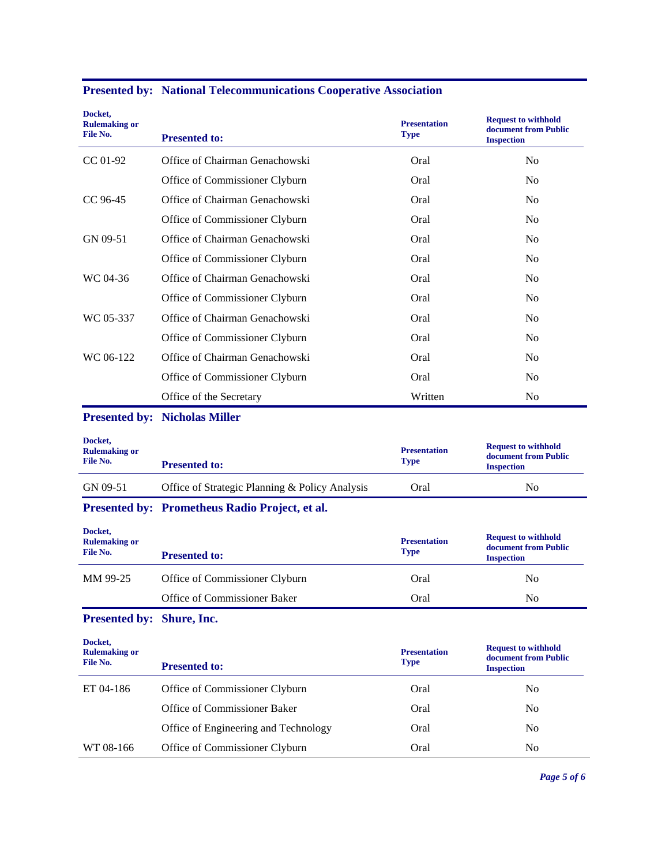| Docket,<br><b>Rulemaking or</b><br>File No. | <b>Presented to:</b>                           | <b>Presentation</b><br><b>Type</b> | <b>Request to withhold</b><br>document from Public<br><b>Inspection</b> |
|---------------------------------------------|------------------------------------------------|------------------------------------|-------------------------------------------------------------------------|
| CC 01-92                                    | Office of Chairman Genachowski                 | Oral                               | N <sub>o</sub>                                                          |
|                                             | Office of Commissioner Clyburn                 | Oral                               | N <sub>0</sub>                                                          |
| CC 96-45                                    | Office of Chairman Genachowski                 | Oral                               | N <sub>0</sub>                                                          |
|                                             | Office of Commissioner Clyburn                 | Oral                               | N <sub>0</sub>                                                          |
| GN 09-51                                    | Office of Chairman Genachowski                 | Oral                               | No                                                                      |
|                                             | Office of Commissioner Clyburn                 | Oral                               | N <sub>0</sub>                                                          |
| WC 04-36                                    | Office of Chairman Genachowski                 | Oral                               | N <sub>0</sub>                                                          |
|                                             | Office of Commissioner Clyburn                 | Oral                               | N <sub>0</sub>                                                          |
| WC 05-337                                   | Office of Chairman Genachowski                 | Oral                               | N <sub>0</sub>                                                          |
|                                             | Office of Commissioner Clyburn                 | Oral                               | N <sub>0</sub>                                                          |
| WC 06-122                                   | Office of Chairman Genachowski                 | Oral                               | N <sub>0</sub>                                                          |
|                                             | Office of Commissioner Clyburn                 | Oral                               | N <sub>0</sub>                                                          |
|                                             | Office of the Secretary                        | Written                            | No                                                                      |
|                                             | <b>Presented by: Nicholas Miller</b>           |                                    |                                                                         |
| Docket,<br><b>Rulemaking or</b><br>File No. | <b>Presented to:</b>                           | <b>Presentation</b><br><b>Type</b> | <b>Request to withhold</b><br>document from Public<br><b>Inspection</b> |
| GN 09-51                                    | Office of Strategic Planning & Policy Analysis | Oral                               | No                                                                      |
|                                             | Presented by: Prometheus Radio Project, et al. |                                    |                                                                         |
| Docket,<br><b>Rulemaking or</b>             |                                                |                                    |                                                                         |
| File No.                                    | <b>Presented to:</b>                           | <b>Presentation</b><br><b>Type</b> | <b>Request to withhold</b><br>document from Public<br><b>Inspection</b> |
| MM 99-25                                    | Office of Commissioner Clyburn                 | Oral                               | N <sub>o</sub>                                                          |
|                                             | Office of Commissioner Baker                   | Oral                               | No                                                                      |
| Presented by: Shure, Inc.                   |                                                |                                    |                                                                         |
| Docket,<br><b>Rulemaking or</b><br>File No. | <b>Presented to:</b>                           | <b>Presentation</b><br><b>Type</b> | <b>Request to withhold</b><br>document from Public<br><b>Inspection</b> |
| ET 04-186                                   | Office of Commissioner Clyburn                 | Oral                               | N <sub>o</sub>                                                          |
|                                             | Office of Commissioner Baker                   | Oral                               | N <sub>o</sub>                                                          |
|                                             | Office of Engineering and Technology           | Oral                               | N <sub>o</sub>                                                          |

# **Presented by: National Telecommunications Cooperative Association**